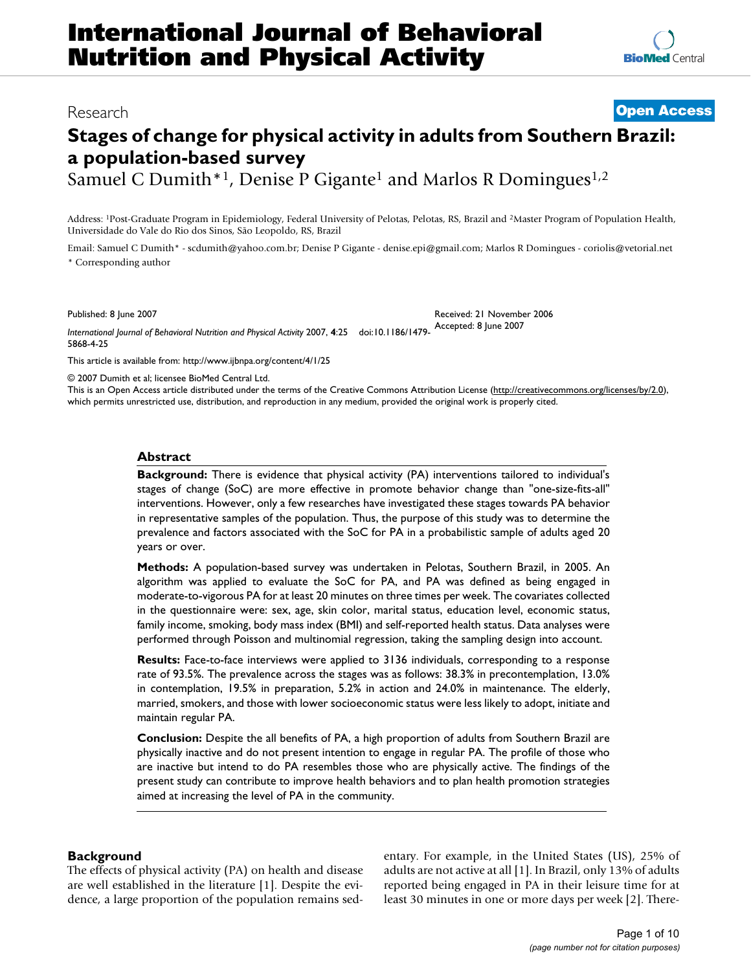## Research **[Open Access](http://www.biomedcentral.com/info/about/charter/)**

# **Stages of change for physical activity in adults from Southern Brazil: a population-based survey**

Samuel C Dumith<sup>\*1</sup>, Denise P Gigante<sup>1</sup> and Marlos R Domingues<sup>1,2</sup>

Address: 1Post-Graduate Program in Epidemiology, Federal University of Pelotas, Pelotas, RS, Brazil and 2Master Program of Population Health, Universidade do Vale do Rio dos Sinos, São Leopoldo, RS, Brazil

Email: Samuel C Dumith\* - scdumith@yahoo.com.br; Denise P Gigante - denise.epi@gmail.com; Marlos R Domingues - coriolis@vetorial.net \* Corresponding author

Received: 21 November 2006

Published: 8 June 2007

*International Journal of Behavioral Nutrition and Physical Activity* 2007, **4**:25 doi:10.1186/1479- Accepted: 8 June 2007 5868-4-25

[This article is available from: http://www.ijbnpa.org/content/4/1/25](http://www.ijbnpa.org/content/4/1/25)

© 2007 Dumith et al; licensee BioMed Central Ltd.

This is an Open Access article distributed under the terms of the Creative Commons Attribution License [\(http://creativecommons.org/licenses/by/2.0\)](http://creativecommons.org/licenses/by/2.0), which permits unrestricted use, distribution, and reproduction in any medium, provided the original work is properly cited.

#### **Abstract**

**Background:** There is evidence that physical activity (PA) interventions tailored to individual's stages of change (SoC) are more effective in promote behavior change than "one-size-fits-all" interventions. However, only a few researches have investigated these stages towards PA behavior in representative samples of the population. Thus, the purpose of this study was to determine the prevalence and factors associated with the SoC for PA in a probabilistic sample of adults aged 20 years or over.

**Methods:** A population-based survey was undertaken in Pelotas, Southern Brazil, in 2005. An algorithm was applied to evaluate the SoC for PA, and PA was defined as being engaged in moderate-to-vigorous PA for at least 20 minutes on three times per week. The covariates collected in the questionnaire were: sex, age, skin color, marital status, education level, economic status, family income, smoking, body mass index (BMI) and self-reported health status. Data analyses were performed through Poisson and multinomial regression, taking the sampling design into account.

**Results:** Face-to-face interviews were applied to 3136 individuals, corresponding to a response rate of 93.5%. The prevalence across the stages was as follows: 38.3% in precontemplation, 13.0% in contemplation, 19.5% in preparation, 5.2% in action and 24.0% in maintenance. The elderly, married, smokers, and those with lower socioeconomic status were less likely to adopt, initiate and maintain regular PA.

**Conclusion:** Despite the all benefits of PA, a high proportion of adults from Southern Brazil are physically inactive and do not present intention to engage in regular PA. The profile of those who are inactive but intend to do PA resembles those who are physically active. The findings of the present study can contribute to improve health behaviors and to plan health promotion strategies aimed at increasing the level of PA in the community.

## **Background**

The effects of physical activity (PA) on health and disease are well established in the literature [1]. Despite the evidence, a large proportion of the population remains sedentary. For example, in the United States (US), 25% of adults are not active at all [1]. In Brazil, only 13% of adults reported being engaged in PA in their leisure time for at least 30 minutes in one or more days per week [2]. There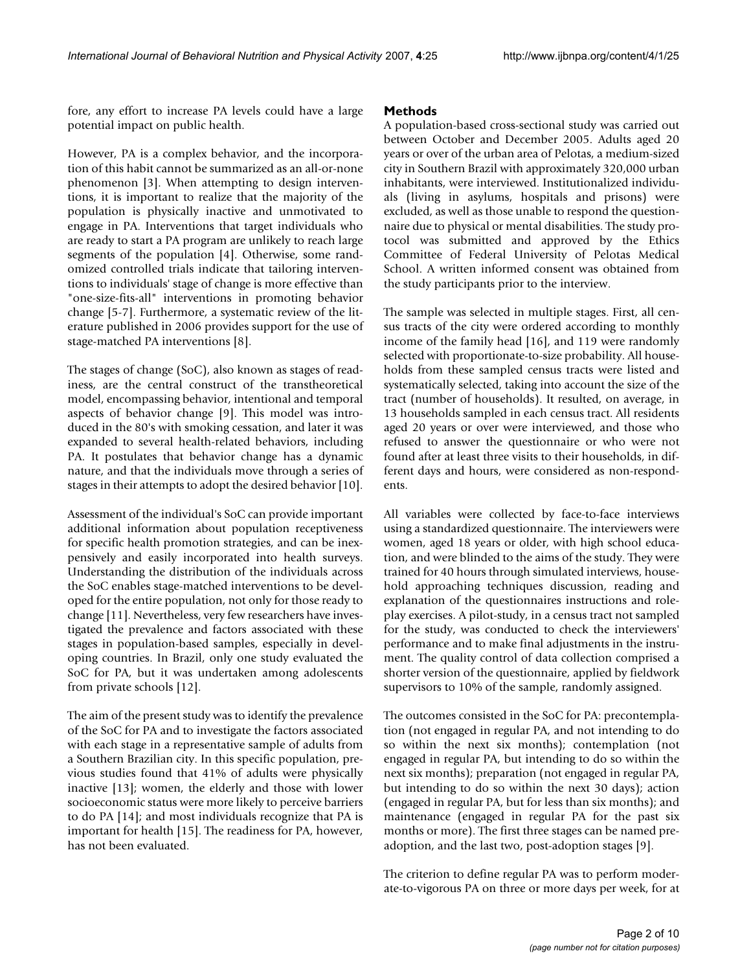fore, any effort to increase PA levels could have a large potential impact on public health.

However, PA is a complex behavior, and the incorporation of this habit cannot be summarized as an all-or-none phenomenon [3]. When attempting to design interventions, it is important to realize that the majority of the population is physically inactive and unmotivated to engage in PA. Interventions that target individuals who are ready to start a PA program are unlikely to reach large segments of the population [4]. Otherwise, some randomized controlled trials indicate that tailoring interventions to individuals' stage of change is more effective than "one-size-fits-all" interventions in promoting behavior change [5-7]. Furthermore, a systematic review of the literature published in 2006 provides support for the use of stage-matched PA interventions [8].

The stages of change (SoC), also known as stages of readiness, are the central construct of the transtheoretical model, encompassing behavior, intentional and temporal aspects of behavior change [9]. This model was introduced in the 80's with smoking cessation, and later it was expanded to several health-related behaviors, including PA. It postulates that behavior change has a dynamic nature, and that the individuals move through a series of stages in their attempts to adopt the desired behavior [10].

Assessment of the individual's SoC can provide important additional information about population receptiveness for specific health promotion strategies, and can be inexpensively and easily incorporated into health surveys. Understanding the distribution of the individuals across the SoC enables stage-matched interventions to be developed for the entire population, not only for those ready to change [11]. Nevertheless, very few researchers have investigated the prevalence and factors associated with these stages in population-based samples, especially in developing countries. In Brazil, only one study evaluated the SoC for PA, but it was undertaken among adolescents from private schools [12].

The aim of the present study was to identify the prevalence of the SoC for PA and to investigate the factors associated with each stage in a representative sample of adults from a Southern Brazilian city. In this specific population, previous studies found that 41% of adults were physically inactive [13]; women, the elderly and those with lower socioeconomic status were more likely to perceive barriers to do PA [14]; and most individuals recognize that PA is important for health [15]. The readiness for PA, however, has not been evaluated.

### **Methods**

A population-based cross-sectional study was carried out between October and December 2005. Adults aged 20 years or over of the urban area of Pelotas, a medium-sized city in Southern Brazil with approximately 320,000 urban inhabitants, were interviewed. Institutionalized individuals (living in asylums, hospitals and prisons) were excluded, as well as those unable to respond the questionnaire due to physical or mental disabilities. The study protocol was submitted and approved by the Ethics Committee of Federal University of Pelotas Medical School. A written informed consent was obtained from the study participants prior to the interview.

The sample was selected in multiple stages. First, all census tracts of the city were ordered according to monthly income of the family head [16], and 119 were randomly selected with proportionate-to-size probability. All households from these sampled census tracts were listed and systematically selected, taking into account the size of the tract (number of households). It resulted, on average, in 13 households sampled in each census tract. All residents aged 20 years or over were interviewed, and those who refused to answer the questionnaire or who were not found after at least three visits to their households, in different days and hours, were considered as non-respondents.

All variables were collected by face-to-face interviews using a standardized questionnaire. The interviewers were women, aged 18 years or older, with high school education, and were blinded to the aims of the study. They were trained for 40 hours through simulated interviews, household approaching techniques discussion, reading and explanation of the questionnaires instructions and roleplay exercises. A pilot-study, in a census tract not sampled for the study, was conducted to check the interviewers' performance and to make final adjustments in the instrument. The quality control of data collection comprised a shorter version of the questionnaire, applied by fieldwork supervisors to 10% of the sample, randomly assigned.

The outcomes consisted in the SoC for PA: precontemplation (not engaged in regular PA, and not intending to do so within the next six months); contemplation (not engaged in regular PA, but intending to do so within the next six months); preparation (not engaged in regular PA, but intending to do so within the next 30 days); action (engaged in regular PA, but for less than six months); and maintenance (engaged in regular PA for the past six months or more). The first three stages can be named preadoption, and the last two, post-adoption stages [9].

The criterion to define regular PA was to perform moderate-to-vigorous PA on three or more days per week, for at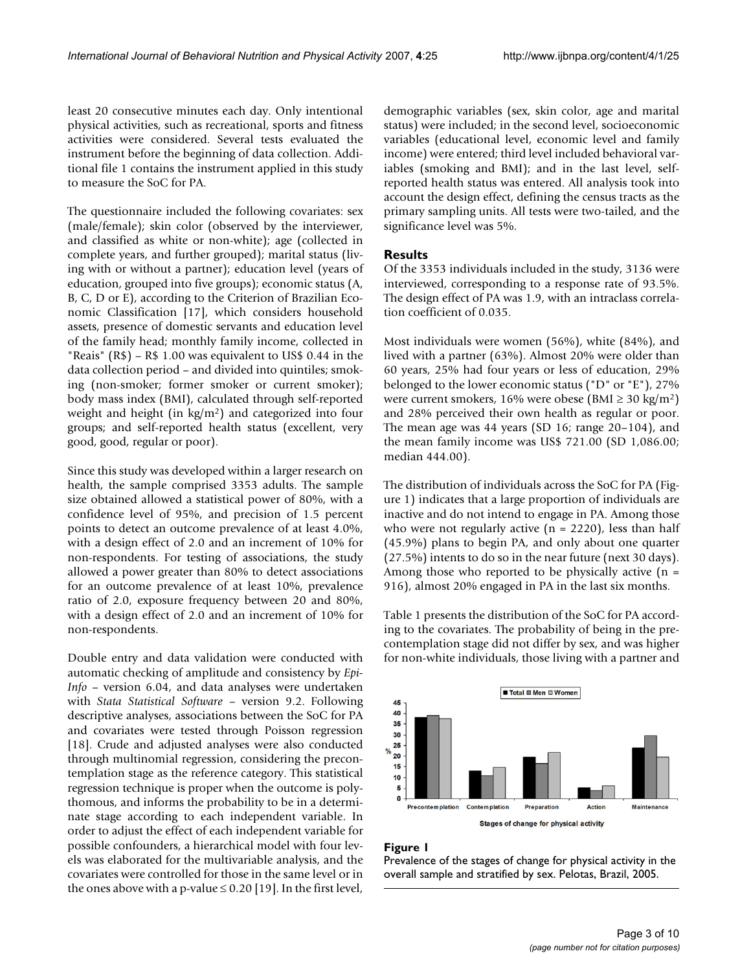least 20 consecutive minutes each day. Only intentional physical activities, such as recreational, sports and fitness activities were considered. Several tests evaluated the instrument before the beginning of data collection. Additional file 1 contains the instrument applied in this study to measure the SoC for PA.

The questionnaire included the following covariates: sex (male/female); skin color (observed by the interviewer, and classified as white or non-white); age (collected in complete years, and further grouped); marital status (living with or without a partner); education level (years of education, grouped into five groups); economic status (A, B, C, D or E), according to the Criterion of Brazilian Economic Classification [17], which considers household assets, presence of domestic servants and education level of the family head; monthly family income, collected in "Reais" (R\$) – R\$ 1.00 was equivalent to US\$ 0.44 in the data collection period – and divided into quintiles; smoking (non-smoker; former smoker or current smoker); body mass index (BMI), calculated through self-reported weight and height (in kg/m2) and categorized into four groups; and self-reported health status (excellent, very good, good, regular or poor).

Since this study was developed within a larger research on health, the sample comprised 3353 adults. The sample size obtained allowed a statistical power of 80%, with a confidence level of 95%, and precision of 1.5 percent points to detect an outcome prevalence of at least 4.0%, with a design effect of 2.0 and an increment of 10% for non-respondents. For testing of associations, the study allowed a power greater than 80% to detect associations for an outcome prevalence of at least 10%, prevalence ratio of 2.0, exposure frequency between 20 and 80%, with a design effect of 2.0 and an increment of 10% for non-respondents.

Double entry and data validation were conducted with automatic checking of amplitude and consistency by *Epi-Info* – version 6.04, and data analyses were undertaken with *Stata Statistical Software* – version 9.2. Following descriptive analyses, associations between the SoC for PA and covariates were tested through Poisson regression [18]. Crude and adjusted analyses were also conducted through multinomial regression, considering the precontemplation stage as the reference category. This statistical regression technique is proper when the outcome is polythomous, and informs the probability to be in a determinate stage according to each independent variable. In order to adjust the effect of each independent variable for possible confounders, a hierarchical model with four levels was elaborated for the multivariable analysis, and the covariates were controlled for those in the same level or in the ones above with a p-value  $\leq$  0.20 [19]. In the first level,

demographic variables (sex, skin color, age and marital status) were included; in the second level, socioeconomic variables (educational level, economic level and family income) were entered; third level included behavioral variables (smoking and BMI); and in the last level, selfreported health status was entered. All analysis took into account the design effect, defining the census tracts as the primary sampling units. All tests were two-tailed, and the significance level was 5%.

#### **Results**

Of the 3353 individuals included in the study, 3136 were interviewed, corresponding to a response rate of 93.5%. The design effect of PA was 1.9, with an intraclass correlation coefficient of 0.035.

Most individuals were women (56%), white (84%), and lived with a partner (63%). Almost 20% were older than 60 years, 25% had four years or less of education, 29% belonged to the lower economic status ("D" or "E"), 27% were current smokers, 16% were obese (BMI ≥ 30 kg/m2) and 28% perceived their own health as regular or poor. The mean age was 44 years (SD 16; range 20–104), and the mean family income was US\$ 721.00 (SD 1,086.00; median 444.00).

The distribution of individuals across the SoC for PA (Figure 1) indicates that a large proportion of individuals are inactive and do not intend to engage in PA. Among those who were not regularly active  $(n = 2220)$ , less than half (45.9%) plans to begin PA, and only about one quarter (27.5%) intents to do so in the near future (next 30 days). Among those who reported to be physically active  $(n =$ 916), almost 20% engaged in PA in the last six months.

Table 1 presents the distribution of the SoC for PA according to the covariates. The probability of being in the precontemplation stage did not differ by sex, and was higher for non-white individuals, those living with a partner and



#### **Figure 1**

Prevalence of the stages of change for physical activity in the overall sample and stratified by sex. Pelotas, Brazil, 2005.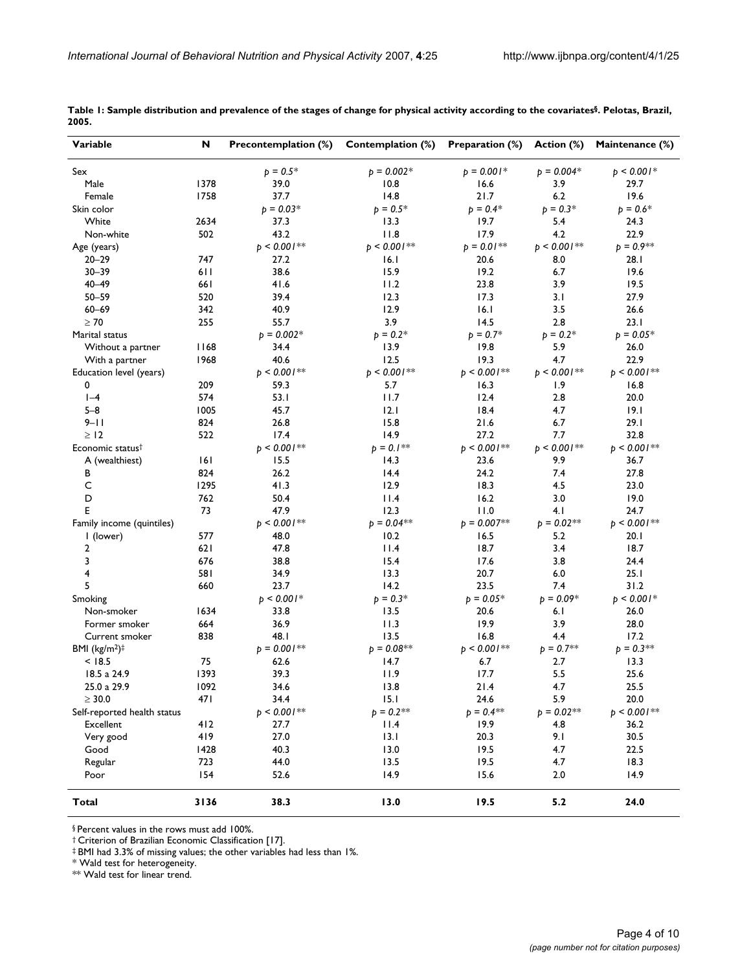| Variable                     | N     | <b>Precontemplation (%)</b> | Contemplation (%) | Preparation (%) | Action (%)     | Maintenance (%) |
|------------------------------|-------|-----------------------------|-------------------|-----------------|----------------|-----------------|
| Sex                          |       | $p = 0.5*$                  | $p = 0.002*$      | $p = 0.001*$    | $p = 0.004*$   | $p < 0.001*$    |
| Male                         | 1378  | 39.0                        | 10.8              | 16.6            | 3.9            | 29.7            |
| Female                       | 1758  | 37.7                        | 14.8              | 21.7            | 6.2            | 19.6            |
| Skin color                   |       | $p = 0.03*$                 | $p = 0.5*$        | $p = 0.4*$      | $p = 0.3*$     | $p = 0.6*$      |
| White                        | 2634  | 37.3                        | 13.3              | 19.7            | 5.4            | 24.3            |
| Non-white                    | 502   | 43.2                        | 11.8              | 17.9            | 4.2            | 22.9            |
| Age (years)                  |       | $p < 0.001$ **              | $p < 0.001$ **    | $p = 0.01$ **   | $p < 0.001$ ** | $p = 0.9**$     |
| $20 - 29$                    | 747   | 27.2                        | 16.1              | 20.6            | 8.0            | 28.1            |
| 30-39                        | 6 I I | 38.6                        | 15.9              | 19.2            | 6.7            | 19.6            |
| $40 - 49$                    | 661   | 41.6                        | 11.2              | 23.8            | 3.9            | 19.5            |
| 50-59                        | 520   | 39.4                        | 12.3              | 17.3            | 3.1            | 27.9            |
| $60 - 69$                    | 342   | 40.9                        | 12.9              | 16.1            | 3.5            | 26.6            |
| $\geq 70$                    | 255   | 55.7                        | 3.9               | 14.5            | 2.8            | 23.1            |
| Marital status               |       | $p = 0.002*$                | $p = 0.2*$        | $p = 0.7*$      | $p = 0.2*$     | $p = 0.05*$     |
| Without a partner            | 1168  | 34.4                        | 13.9              | 19.8            | 5.9            | 26.0            |
| With a partner               | 1968  | 40.6                        | 12.5              | 19.3            | 4.7            | 22.9            |
| Education level (years)      |       | $p < 0.001$ **              | $p < 0.001$ **    | $p < 0.001$ **  | $p < 0.001$ ** | $p < 0.001$ **  |
| 0                            | 209   | 59.3                        | 5.7               | 16.3            | 1.9            | 16.8            |
| $ -4$                        | 574   | 53.1                        | 11.7              | 12.4            | 2.8            | 20.0            |
| $5 - 8$                      | 1005  | 45.7                        | 2.1               | 18.4            | 4.7            | 9.1             |
| 9–1 I                        | 824   | 26.8                        | 15.8              | 21.6            | 6.7            | 29.1            |
| $\geq$ 12                    | 522   | 17.4                        | 14.9              | 27.2            | 7.7            | 32.8            |
| Economic status <sup>†</sup> |       | $p < 0.001$ **              | $b = 0.1**$       | $p < 0.001$ **  | $p < 0.001$ ** | $p < 0.001$ **  |
|                              | 161   | 15.5                        | 14.3              | 23.6            | 9.9            | 36.7            |
| A (wealthiest)<br>в          | 824   | 26.2                        | 14.4              | 24.2            | 7.4            | 27.8            |
| C                            | 1295  | 41.3                        | 12.9              | 18.3            | 4.5            | 23.0            |
| D                            | 762   | 50.4                        | 11.4              | 16.2            | 3.0            | 19.0            |
| E                            | 73    |                             | 12.3              |                 | 4.1            |                 |
|                              |       | 47.9                        |                   | 11.0            |                | 24.7            |
| Family income (quintiles)    |       | $p < 0.001$ **              | $p = 0.04$ **     | $p = 0.007**$   | $p = 0.02**$   | $p < 0.001$ **  |
| I (lower)                    | 577   | 48.0                        | 10.2              | 16.5            | 5.2            | 20. I           |
| 2                            | 621   | 47.8                        | 11.4              | 18.7            | 3.4            | 18.7            |
| 3                            | 676   | 38.8                        | 15.4              | 17.6            | 3.8            | 24.4            |
| 4                            | 581   | 34.9                        | 13.3              | 20.7            | 6.0            | 25.1            |
| 5                            | 660   | 23.7                        | 14.2              | 23.5            | 7.4            | 31.2            |
| Smoking                      |       | $p < 0.001*$                | $p = 0.3*$        | $p = 0.05*$     | $p = 0.09*$    | $p < 0.001*$    |
| Non-smoker                   | 1634  | 33.8                        | 13.5              | 20.6            | 6.1            | 26.0            |
| Former smoker                | 664   | 36.9                        | 11.3              | 19.9            | 3.9            | 28.0            |
| Current smoker               | 838   | 48.I                        | 13.5              | 16.8            | 4.4            | 17.2            |
| BMI $(kg/m2)‡$               |       | $p = 0.001**$               | $p = 0.08**$      | $p < 0.001$ **  | $p = 0.7**$    | $p = 0.3**$     |
| < 18.5                       | 75    | 62.6                        | 14.7              | 6.7             | 2.7            | 13.3            |
| 18.5 a 24.9                  | 1393  | 39.3                        | 11.9              | 17.7            | 5.5            | 25.6            |
| 25.0 a 29.9                  | 1092  | 34.6                        | $13.8$            | $21.4$          | $4.7\,$        | 25.5            |
| $\geq 30.0$                  | 47 I  | 34.4                        | 15.1              | 24.6            | 5.9            | 20.0            |
| Self-reported health status  |       | $p < 0.001$ **              | $p = 0.2$ **      | $p = 0.4**$     | $p = 0.02**$   | $p < 0.001**$   |
| <b>Excellent</b>             | 412   | 27.7                        | 11.4              | 19.9            | 4.8            | 36.2            |
| Very good                    | 419   | 27.0                        | 13.1              | 20.3            | 9.1            | 30.5            |
| Good                         | 1428  | 40.3                        | 13.0              | 19.5            | 4.7            | 22.5            |
| Regular                      | 723   | 44.0                        | 13.5              | 19.5            | 4.7            | 18.3            |
| Poor                         | 154   | 52.6                        | 14.9              | 15.6            | 2.0            | 14.9            |
| Total                        | 3136  | 38.3                        | 13.0              | 19.5            | 5.2            | 24.0            |

**Table 1: Sample distribution and prevalence of the stages of change for physical activity according to the covariates§. Pelotas, Brazil, 2005.**

§ Percent values in the rows must add 100%.

† Criterion of Brazilian Economic Classification [17].

‡ BMI had 3.3% of missing values; the other variables had less than 1%.

\* Wald test for heterogeneity.

\*\* Wald test for linear trend.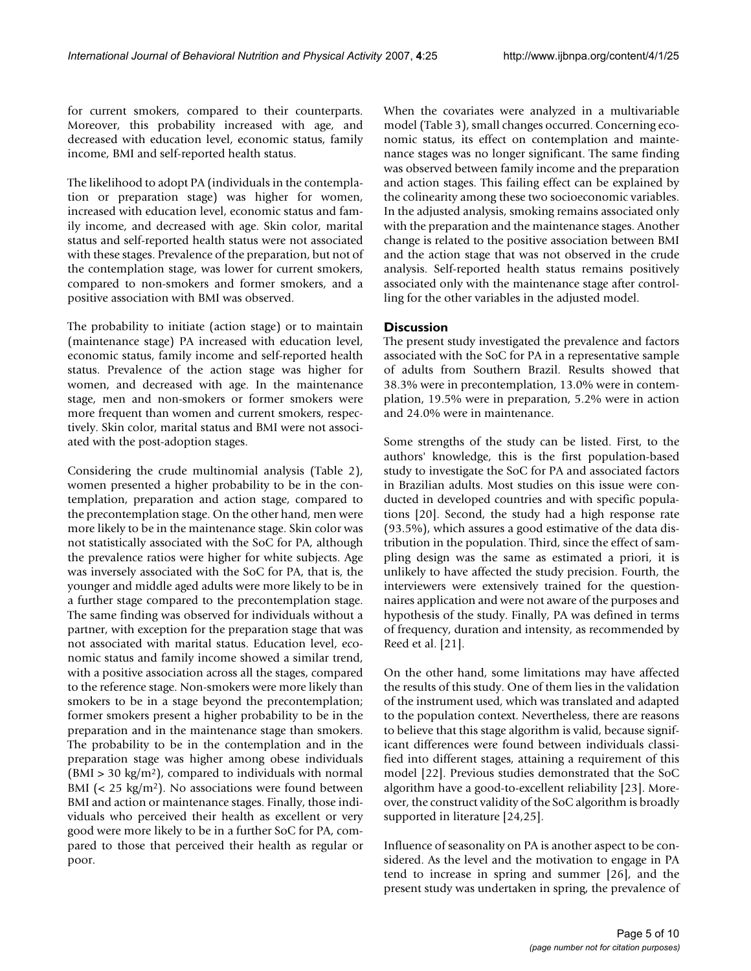for current smokers, compared to their counterparts. Moreover, this probability increased with age, and decreased with education level, economic status, family income, BMI and self-reported health status.

The likelihood to adopt PA (individuals in the contemplation or preparation stage) was higher for women, increased with education level, economic status and family income, and decreased with age. Skin color, marital status and self-reported health status were not associated with these stages. Prevalence of the preparation, but not of the contemplation stage, was lower for current smokers, compared to non-smokers and former smokers, and a positive association with BMI was observed.

The probability to initiate (action stage) or to maintain (maintenance stage) PA increased with education level, economic status, family income and self-reported health status. Prevalence of the action stage was higher for women, and decreased with age. In the maintenance stage, men and non-smokers or former smokers were more frequent than women and current smokers, respectively. Skin color, marital status and BMI were not associated with the post-adoption stages.

Considering the crude multinomial analysis (Table 2), women presented a higher probability to be in the contemplation, preparation and action stage, compared to the precontemplation stage. On the other hand, men were more likely to be in the maintenance stage. Skin color was not statistically associated with the SoC for PA, although the prevalence ratios were higher for white subjects. Age was inversely associated with the SoC for PA, that is, the younger and middle aged adults were more likely to be in a further stage compared to the precontemplation stage. The same finding was observed for individuals without a partner, with exception for the preparation stage that was not associated with marital status. Education level, economic status and family income showed a similar trend, with a positive association across all the stages, compared to the reference stage. Non-smokers were more likely than smokers to be in a stage beyond the precontemplation; former smokers present a higher probability to be in the preparation and in the maintenance stage than smokers. The probability to be in the contemplation and in the preparation stage was higher among obese individuals  $(BMI > 30 \text{ kg/m}^2)$ , compared to individuals with normal BMI ( $<$  25 kg/m<sup>2</sup>). No associations were found between BMI and action or maintenance stages. Finally, those individuals who perceived their health as excellent or very good were more likely to be in a further SoC for PA, compared to those that perceived their health as regular or poor.

When the covariates were analyzed in a multivariable model (Table 3), small changes occurred. Concerning economic status, its effect on contemplation and maintenance stages was no longer significant. The same finding was observed between family income and the preparation and action stages. This failing effect can be explained by the colinearity among these two socioeconomic variables. In the adjusted analysis, smoking remains associated only with the preparation and the maintenance stages. Another change is related to the positive association between BMI and the action stage that was not observed in the crude analysis. Self-reported health status remains positively associated only with the maintenance stage after controlling for the other variables in the adjusted model.

#### **Discussion**

The present study investigated the prevalence and factors associated with the SoC for PA in a representative sample of adults from Southern Brazil. Results showed that 38.3% were in precontemplation, 13.0% were in contemplation, 19.5% were in preparation, 5.2% were in action and 24.0% were in maintenance.

Some strengths of the study can be listed. First, to the authors' knowledge, this is the first population-based study to investigate the SoC for PA and associated factors in Brazilian adults. Most studies on this issue were conducted in developed countries and with specific populations [20]. Second, the study had a high response rate (93.5%), which assures a good estimative of the data distribution in the population. Third, since the effect of sampling design was the same as estimated a priori, it is unlikely to have affected the study precision. Fourth, the interviewers were extensively trained for the questionnaires application and were not aware of the purposes and hypothesis of the study. Finally, PA was defined in terms of frequency, duration and intensity, as recommended by Reed et al. [21].

On the other hand, some limitations may have affected the results of this study. One of them lies in the validation of the instrument used, which was translated and adapted to the population context. Nevertheless, there are reasons to believe that this stage algorithm is valid, because significant differences were found between individuals classified into different stages, attaining a requirement of this model [22]. Previous studies demonstrated that the SoC algorithm have a good-to-excellent reliability [23]. Moreover, the construct validity of the SoC algorithm is broadly supported in literature [24,25].

Influence of seasonality on PA is another aspect to be considered. As the level and the motivation to engage in PA tend to increase in spring and summer [26], and the present study was undertaken in spring, the prevalence of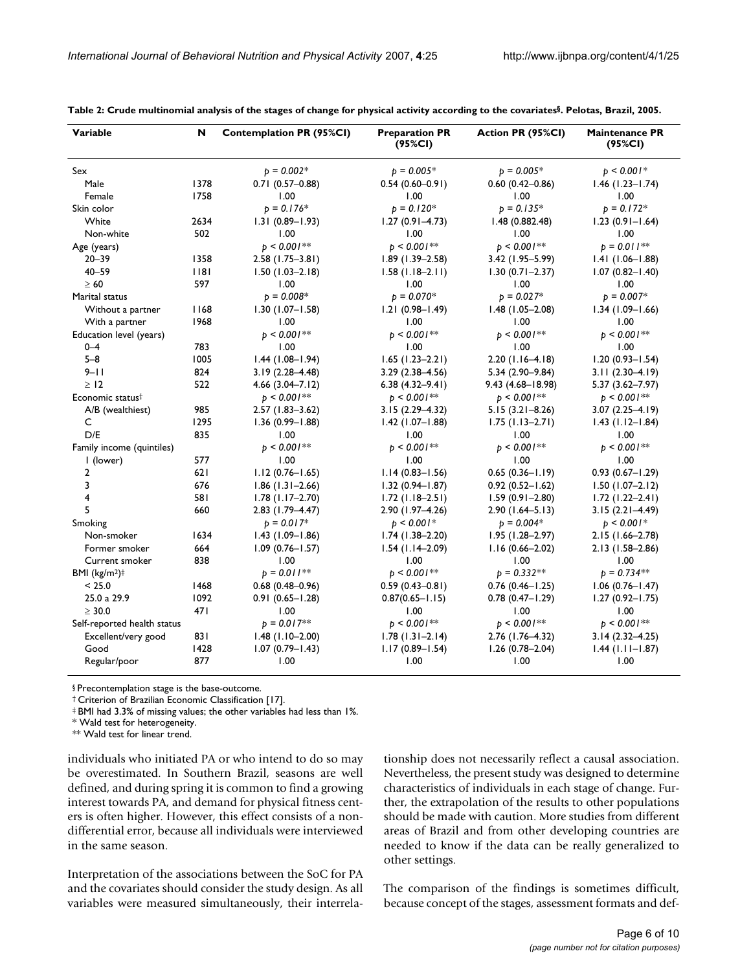| Variable                     | N    | <b>Contemplation PR (95%CI)</b> | <b>Preparation PR</b><br>(95%CI) | Action PR (95%CI)   | <b>Maintenance PR</b><br>(95%CI) |
|------------------------------|------|---------------------------------|----------------------------------|---------------------|----------------------------------|
| Sex                          |      | $p = 0.002*$                    | $b = 0.005*$                     | $b = 0.005*$        | $p < 0.001*$                     |
| Male                         | 1378 | $0.71(0.57 - 0.88)$             | $0.54(0.60 - 0.91)$              | $0.60(0.42 - 0.86)$ | $1.46$ (1.23–1.74)               |
| Female                       | 1758 | 1.00                            | 1.00                             | 1.00                | 1.00                             |
| Skin color                   |      | $p = 0.176*$                    | $p = 0.120*$                     | $p = 0.135*$        | $p = 0.172*$                     |
| White                        | 2634 | $1.31(0.89 - 1.93)$             | $1.27(0.91 - 4.73)$              | 1.48(0.882.48)      | $1.23(0.91 - 1.64)$              |
| Non-white                    | 502  | 1.00                            | 1.00                             | 1.00                | 1.00                             |
| Age (years)                  |      | $b < 0.001$ **                  | $b < 0.001$ **                   | $p < 0.001$ **      | $p = 0.011**$                    |
| $20 - 39$                    | 1358 | $2.58$ (1.75-3.81)              | $1.89(1.39 - 2.58)$              | $3.42$ (1.95-5.99)  | $1.41(1.06 - 1.88)$              |
| $40 - 59$                    | 18   | $1.50(1.03 - 2.18)$             | $1.58(1.18-2.11)$                | $1.30(0.71 - 2.37)$ | $1.07(0.82 - 1.40)$              |
| $\geq 60$                    | 597  | 1.00                            | 1.00                             | 1.00                | 1.00                             |
| Marital status               |      | $p = 0.008*$                    | $b = 0.070*$                     | $p = 0.027*$        | $p = 0.007*$                     |
| Without a partner            | 1168 | $1.30(1.07 - 1.58)$             | $1.21(0.98 - 1.49)$              | $1.48(1.05 - 2.08)$ | $1.34(1.09 - 1.66)$              |
| With a partner               | 1968 | 1.00                            | 1.00                             | 1.00                | 1.00                             |
| Education level (years)      |      | $b < 0.001***$                  | $b < 0.001***$                   | $p < 0.001$ **      | $b < 0.001**$                    |
| $0 - 4$                      | 783  | 1.00                            | 1.00                             | 1.00                | 1.00                             |
| $5 - 8$                      | 1005 | $1.44$ (1.08-1.94)              | $1.65$ (1.23–2.21)               | $2.20(1.16-4.18)$   | $1.20(0.93 - 1.54)$              |
| $9 - 11$                     | 824  | $3.19(2.28 - 4.48)$             | $3.29(2.38 - 4.56)$              | $5.34(2.90 - 9.84)$ | $3.11(2.30-4.19)$                |
| >12                          | 522  | $4.66$ (3.04-7.12)              | $6.38(4.32 - 9.41)$              | 9.43 (4.68–18.98)   | 5.37 (3.62–7.97)                 |
| Economic status <sup>†</sup> |      | $b < 0.001**$                   | $b \leq 0.001$ **                | $b < 0.001**$       | $b \leq 0.001**$                 |
| A/B (wealthiest)             | 985  | $2.57(1.83 - 3.62)$             | $3.15(2.29 - 4.32)$              | $5.15(3.21 - 8.26)$ | $3.07(2.25 - 4.19)$              |
| C                            | 1295 | $1.36(0.99 - 1.88)$             | $1.42$ (1.07-1.88)               | $1.75$ (1.13-2.71)  | $1.43$ (1.12–1.84)               |
| D/E                          | 835  | 1.00                            | 1.00                             | 1.00                | 1.00                             |
| Family income (quintiles)    |      | $b < 0.001***$                  | $b < 0.001***$                   | $b \leq 0.001$ **   | $b < 0.001**$                    |
| I (lower)                    | 577  | 1.00                            | 1.00                             | 1.00                | 1.00                             |
| $\mathbf{2}$                 | 621  | $1.12(0.76 - 1.65)$             | $1.14(0.83 - 1.56)$              | $0.65(0.36 - 1.19)$ | $0.93(0.67 - 1.29)$              |
| 3                            | 676  | $1.86$ (1.31-2.66)              | $1.32(0.94 - 1.87)$              | $0.92(0.52 - 1.62)$ | $1.50(1.07-2.12)$                |
| 4                            | 581  | $1.78$ (1.17-2.70)              | $1.72$ (1.18–2.51)               | $1.59(0.91 - 2.80)$ | $1.72(1.22 - 2.41)$              |
| 5                            | 660  | 2.83 (1.79-4.47)                | 2.90 (1.97-4.26)                 | $2.90(1.64 - 5.13)$ | $3.15(2.21 - 4.49)$              |
| Smoking                      |      | $p = 0.017*$                    | $b < 0.001*$                     | $p = 0.004*$        | $p < 0.001*$                     |
| Non-smoker                   | 1634 | $1.43(1.09 - 1.86)$             | $1.74(1.38-2.20)$                | $1.95(1.28 - 2.97)$ | 2.15 (1.66–2.78)                 |
| Former smoker                | 664  | $1.09(0.76 - 1.57)$             | $1.54$ (1.14-2.09)               | $1.16(0.66 - 2.02)$ | 2.13 (1.58-2.86)                 |
| Current smoker               | 838  | 1.00                            | 1.00                             | 1.00                | 1.00                             |
| BMI $(kg/m2)‡$               |      | $b = 0.011**$                   | $p < 0.001$ **                   | $p = 0.332**$       | $p = 0.734***$                   |
| < 25.0                       | 1468 | $0.68(0.48 - 0.96)$             | $0.59(0.43 - 0.81)$              | $0.76$ (0.46-1.25)  | $1.06(0.76 - 1.47)$              |
| 25.0 a 29.9                  | 1092 | $0.91(0.65 - 1.28)$             | $0.87(0.65 - 1.15)$              | $0.78(0.47 - 1.29)$ | $1.27(0.92 - 1.75)$              |
| $\geq$ 30.0                  | 471  | 1.00                            | 1.00                             | 1.00                | 1.00                             |
| Self-reported health status  |      | $p = 0.017**$                   | $b \leq 0.001$ **                | $b \leq 0.001$ **   | $b \leq 0.001**$                 |
| Excellent/very good          | 831  | $1.48$ (1.10-2.00)              | $1.78(1.31 - 2.14)$              | $2.76(1.76-4.32)$   | $3.14(2.32 - 4.25)$              |
| Good                         | 1428 | $1.07(0.79 - 1.43)$             | $1.17(0.89 - 1.54)$              | $1.26(0.78 - 2.04)$ | $1.44$ ( $1.11 - 1.87$ )         |
| Regular/poor                 | 877  | 1.00                            | 1.00                             | 1.00                | 1.00                             |
|                              |      |                                 |                                  |                     |                                  |

**Table 2: Crude multinomial analysis of the stages of change for physical activity according to the covariates§. Pelotas, Brazil, 2005.**

§ Precontemplation stage is the base-outcome.

† Criterion of Brazilian Economic Classification [17].

‡ BMI had 3.3% of missing values; the other variables had less than 1%.

\* Wald test for heterogeneity.

\*\* Wald test for linear trend.

individuals who initiated PA or who intend to do so may be overestimated. In Southern Brazil, seasons are well defined, and during spring it is common to find a growing interest towards PA, and demand for physical fitness centers is often higher. However, this effect consists of a nondifferential error, because all individuals were interviewed in the same season.

Interpretation of the associations between the SoC for PA and the covariates should consider the study design. As all variables were measured simultaneously, their interrelationship does not necessarily reflect a causal association. Nevertheless, the present study was designed to determine characteristics of individuals in each stage of change. Further, the extrapolation of the results to other populations should be made with caution. More studies from different areas of Brazil and from other developing countries are needed to know if the data can be really generalized to other settings.

The comparison of the findings is sometimes difficult, because concept of the stages, assessment formats and def-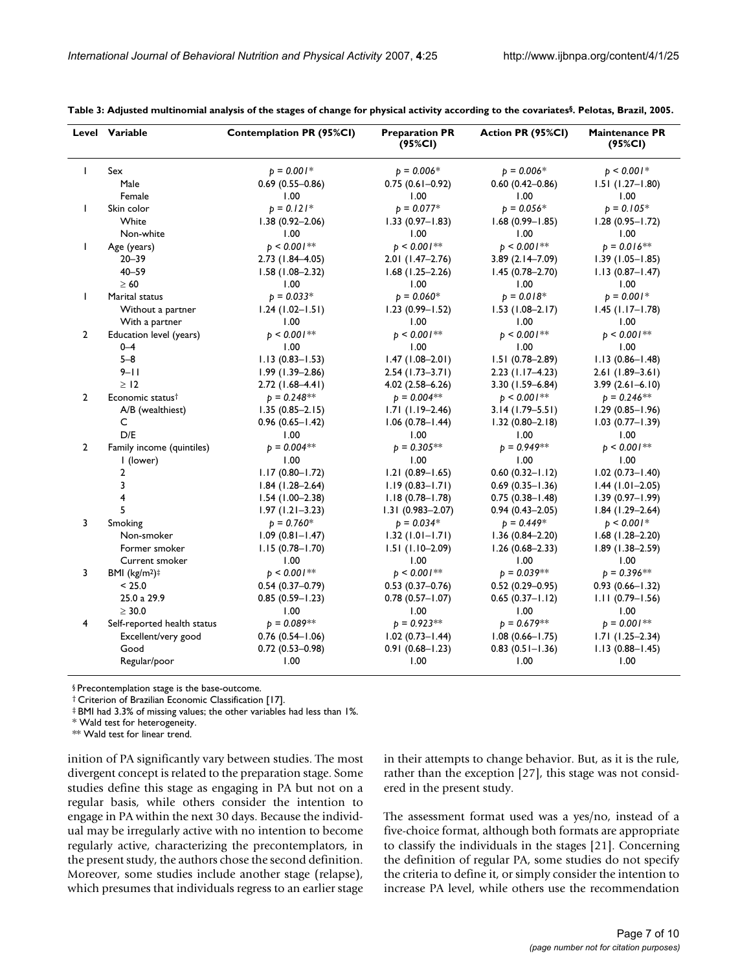|                | Level Variable               | <b>Contemplation PR (95%CI)</b> | <b>Preparation PR</b><br>(95%CI) | Action PR (95%CI)   | <b>Maintenance PR</b><br>(95%CI) |
|----------------|------------------------------|---------------------------------|----------------------------------|---------------------|----------------------------------|
| $\mathsf{I}$   | Sex                          | $p = 0.001*$                    | $p = 0.006*$                     | $b = 0.006*$        | $b < 0.001*$                     |
|                | Male                         | $0.69(0.55 - 0.86)$             | $0.75(0.61 - 0.92)$              | $0.60(0.42 - 0.86)$ | $1.51(1.27 - 1.80)$              |
|                | Female                       | 1.00                            | 1.00                             | 1.00                | 1.00                             |
| $\mathbf{I}$   | Skin color                   | $p = 0.121*$                    | $p = 0.077*$                     | $b = 0.056*$        | $p = 0.105*$                     |
|                | White                        | $1.38(0.92 - 2.06)$             | $1.33(0.97 - 1.83)$              | $1.68(0.99 - 1.85)$ | $1.28(0.95 - 1.72)$              |
|                | Non-white                    | 1.00                            | 1.00                             | 1.00                | 1.00                             |
| $\mathbf{I}$   | Age (years)                  | $p < 0.001**$                   | $p < 0.001$ **                   | $b < 0.001**$       | $p = 0.016**$                    |
|                | $20 - 39$                    | 2.73 (1.84-4.05)                | $2.01(1.47-2.76)$                | 3.89 (2.14-7.09)    | $1.39(1.05 - 1.85)$              |
|                | $40 - 59$                    | $1.58(1.08 - 2.32)$             | $1.68$ (1.25-2.26)               | $1.45(0.78 - 2.70)$ | $1.13(0.87 - 1.47)$              |
|                | $\geq 60$                    | 1.00                            | 1.00                             | 1.00                | 1.00                             |
| $\mathbf{I}$   | Marital status               | $p = 0.033*$                    | $p = 0.060*$                     | $p = 0.018*$        | $p = 0.001*$                     |
|                | Without a partner            | $1.24$ (1.02–1.51)              | $1.23(0.99 - 1.52)$              | $1.53$ (1.08-2.17)  | $1.45$ (1.17-1.78)               |
|                | With a partner               | 1.00                            | 1.00                             | 1.00                | 1.00                             |
| $\overline{2}$ | Education level (years)      | $b < 0.001**$                   | $b < 0.001**$                    | $b < 0.001$ **      | $p < 0.001$ **                   |
|                | $0 - 4$                      | 1.00                            | 1.00                             | 1.00                | 1.00                             |
|                | $5 - 8$                      | $1.13(0.83 - 1.53)$             | $1.47(1.08 - 2.01)$              | $1.51(0.78 - 2.89)$ | $1.13(0.86 - 1.48)$              |
|                | $9 - 11$                     | $1.99(1.39 - 2.86)$             | $2.54(1.73-3.71)$                | $2.23$ (1.17-4.23)  | $2.61(1.89 - 3.61)$              |
|                | > 12                         | $2.72(1.68-4.41)$               | $4.02(2.58 - 6.26)$              | 3.30 (1.59-6.84)    | $3.99(2.61 - 6.10)$              |
| $\overline{2}$ | Economic status <sup>†</sup> | $p = 0.248**$                   | $b = 0.004**$                    | $p < 0.001$ **      | $p = 0.246$ **                   |
|                | A/B (wealthiest)             | $1.35(0.85 - 2.15)$             | $1.71(1.19-2.46)$                | $3.14(1.79 - 5.51)$ | $1.29(0.85 - 1.96)$              |
|                | C                            | $0.96(0.65 - 1.42)$             | $1.06(0.78 - 1.44)$              | $1.32(0.80 - 2.18)$ | $1.03(0.77 - 1.39)$              |
|                | D/E                          | 1.00                            | 1.00                             | 1.00                | 1.00                             |
| $\overline{2}$ | Family income (quintiles)    | $b = 0.004**$                   | $b = 0.305***$                   | $b = 0.949**$       | $p < 0.001**$                    |
|                | I (lower)                    | 1.00                            | 1.00                             | 1.00                | 1.00                             |
|                | $\overline{2}$               | $1.17(0.80 - 1.72)$             | $1.21(0.89 - 1.65)$              | $0.60(0.32 - 1.12)$ | $1.02(0.73 - 1.40)$              |
|                | 3                            | $1.84$ (1.28-2.64)              | $1.19(0.83 - 1.71)$              | $0.69(0.35 - 1.36)$ | $1.44$ (1.01-2.05)               |
|                | 4                            | $1.54(1.00-2.38)$               | $1.18(0.78 - 1.78)$              | $0.75(0.38 - 1.48)$ | $1.39(0.97 - 1.99)$              |
|                | 5                            | $1.97(1.21 - 3.23)$             | $1.31(0.983 - 2.07)$             | $0.94(0.43 - 2.05)$ | $1.84$ (1.29-2.64)               |
| 3              | Smoking                      | $p = 0.760*$                    | $p = 0.034*$                     | $p = 0.449*$        | $p < 0.001*$                     |
|                | Non-smoker                   | $1.09(0.81 - 1.47)$             | $1.32(1.01 - 1.71)$              | $1.36(0.84 - 2.20)$ | $1.68$ (1.28-2.20)               |
|                | Former smoker                | $1.15(0.78 - 1.70)$             | $1.51(1.10-2.09)$                | $1.26(0.68 - 2.33)$ | $1.89(1.38 - 2.59)$              |
|                | Current smoker               | 1.00                            | 1.00                             | 1.00                | 1.00                             |
| 3              | BMI $(kg/m2)$ <sup>#</sup>   | $p < 0.001**$                   | $b < 0.001**$                    | $b = 0.039**$       | $p = 0.396**$                    |
|                | < 25.0                       | $0.54(0.37 - 0.79)$             | $0.53(0.37 - 0.76)$              | $0.52(0.29 - 0.95)$ | $0.93(0.66 - 1.32)$              |
|                | 25.0 a 29.9                  | $0.85(0.59 - 1.23)$             | $0.78(0.57 - 1.07)$              | $0.65(0.37 - 1.12)$ | $1.11(0.79 - 1.56)$              |
|                | $\geq 30.0$                  | 1.00                            | 1.00                             | 1.00                | 1.00                             |
| 4              | Self-reported health status  | $p = 0.089**$                   | $b = 0.923**$                    | $b = 0.679**$       | $p = 0.001**$                    |
|                | Excellent/very good          | $0.76(0.54 - 1.06)$             | $1.02(0.73 - 1.44)$              | $1.08(0.66 - 1.75)$ | $1.71(1.25 - 2.34)$              |
|                | Good                         | $0.72(0.53 - 0.98)$             | $0.91(0.68 - 1.23)$              | $0.83$ (0.51-1.36)  | $1.13(0.88 - 1.45)$              |
|                | Regular/poor                 | 1.00                            | 1.00                             | 1.00                | 1.00                             |

**Table 3: Adjusted multinomial analysis of the stages of change for physical activity according to the covariates§. Pelotas, Brazil, 2005.**

§ Precontemplation stage is the base-outcome.

† Criterion of Brazilian Economic Classification [17].

‡ BMI had 3.3% of missing values; the other variables had less than 1%.

\* Wald test for heterogeneity.

\*\* Wald test for linear trend.

inition of PA significantly vary between studies. The most divergent concept is related to the preparation stage. Some studies define this stage as engaging in PA but not on a regular basis, while others consider the intention to engage in PA within the next 30 days. Because the individual may be irregularly active with no intention to become regularly active, characterizing the precontemplators, in the present study, the authors chose the second definition. Moreover, some studies include another stage (relapse), which presumes that individuals regress to an earlier stage in their attempts to change behavior. But, as it is the rule, rather than the exception [27], this stage was not considered in the present study.

The assessment format used was a yes/no, instead of a five-choice format, although both formats are appropriate to classify the individuals in the stages [21]. Concerning the definition of regular PA, some studies do not specify the criteria to define it, or simply consider the intention to increase PA level, while others use the recommendation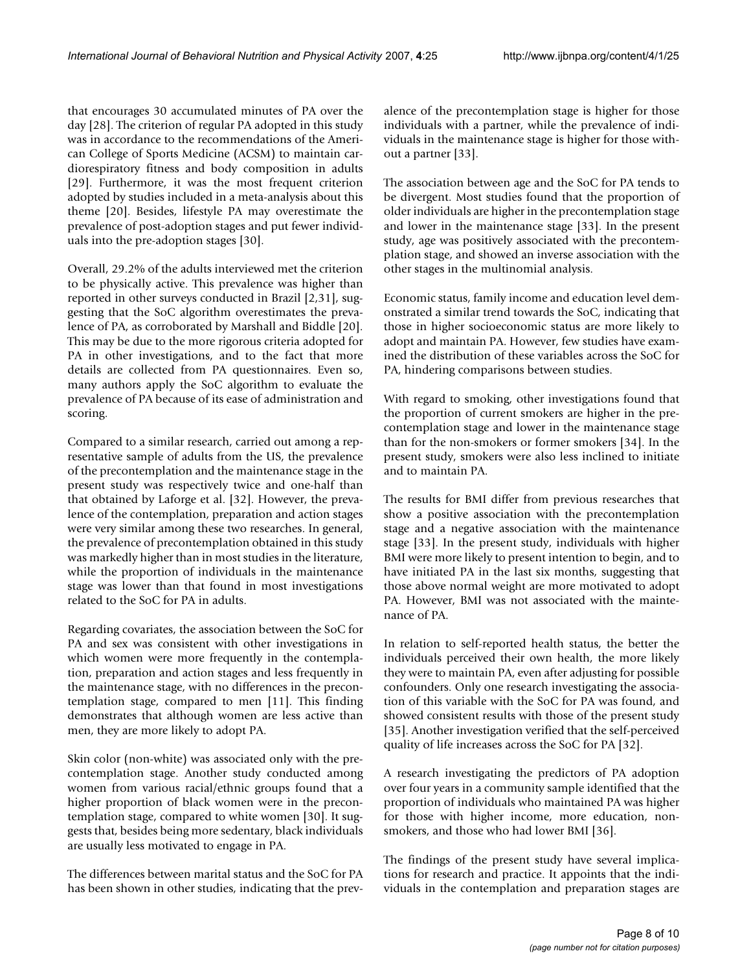that encourages 30 accumulated minutes of PA over the day [28]. The criterion of regular PA adopted in this study was in accordance to the recommendations of the American College of Sports Medicine (ACSM) to maintain cardiorespiratory fitness and body composition in adults [29]. Furthermore, it was the most frequent criterion adopted by studies included in a meta-analysis about this theme [20]. Besides, lifestyle PA may overestimate the prevalence of post-adoption stages and put fewer individuals into the pre-adoption stages [30].

Overall, 29.2% of the adults interviewed met the criterion to be physically active. This prevalence was higher than reported in other surveys conducted in Brazil [2,31], suggesting that the SoC algorithm overestimates the prevalence of PA, as corroborated by Marshall and Biddle [20]. This may be due to the more rigorous criteria adopted for PA in other investigations, and to the fact that more details are collected from PA questionnaires. Even so, many authors apply the SoC algorithm to evaluate the prevalence of PA because of its ease of administration and scoring.

Compared to a similar research, carried out among a representative sample of adults from the US, the prevalence of the precontemplation and the maintenance stage in the present study was respectively twice and one-half than that obtained by Laforge et al. [32]. However, the prevalence of the contemplation, preparation and action stages were very similar among these two researches. In general, the prevalence of precontemplation obtained in this study was markedly higher than in most studies in the literature, while the proportion of individuals in the maintenance stage was lower than that found in most investigations related to the SoC for PA in adults.

Regarding covariates, the association between the SoC for PA and sex was consistent with other investigations in which women were more frequently in the contemplation, preparation and action stages and less frequently in the maintenance stage, with no differences in the precontemplation stage, compared to men [11]. This finding demonstrates that although women are less active than men, they are more likely to adopt PA.

Skin color (non-white) was associated only with the precontemplation stage. Another study conducted among women from various racial/ethnic groups found that a higher proportion of black women were in the precontemplation stage, compared to white women [30]. It suggests that, besides being more sedentary, black individuals are usually less motivated to engage in PA.

The differences between marital status and the SoC for PA has been shown in other studies, indicating that the prevalence of the precontemplation stage is higher for those individuals with a partner, while the prevalence of individuals in the maintenance stage is higher for those without a partner [33].

The association between age and the SoC for PA tends to be divergent. Most studies found that the proportion of older individuals are higher in the precontemplation stage and lower in the maintenance stage [33]. In the present study, age was positively associated with the precontemplation stage, and showed an inverse association with the other stages in the multinomial analysis.

Economic status, family income and education level demonstrated a similar trend towards the SoC, indicating that those in higher socioeconomic status are more likely to adopt and maintain PA. However, few studies have examined the distribution of these variables across the SoC for PA, hindering comparisons between studies.

With regard to smoking, other investigations found that the proportion of current smokers are higher in the precontemplation stage and lower in the maintenance stage than for the non-smokers or former smokers [34]. In the present study, smokers were also less inclined to initiate and to maintain PA.

The results for BMI differ from previous researches that show a positive association with the precontemplation stage and a negative association with the maintenance stage [33]. In the present study, individuals with higher BMI were more likely to present intention to begin, and to have initiated PA in the last six months, suggesting that those above normal weight are more motivated to adopt PA. However, BMI was not associated with the maintenance of PA.

In relation to self-reported health status, the better the individuals perceived their own health, the more likely they were to maintain PA, even after adjusting for possible confounders. Only one research investigating the association of this variable with the SoC for PA was found, and showed consistent results with those of the present study [35]. Another investigation verified that the self-perceived quality of life increases across the SoC for PA [32].

A research investigating the predictors of PA adoption over four years in a community sample identified that the proportion of individuals who maintained PA was higher for those with higher income, more education, nonsmokers, and those who had lower BMI [36].

The findings of the present study have several implications for research and practice. It appoints that the individuals in the contemplation and preparation stages are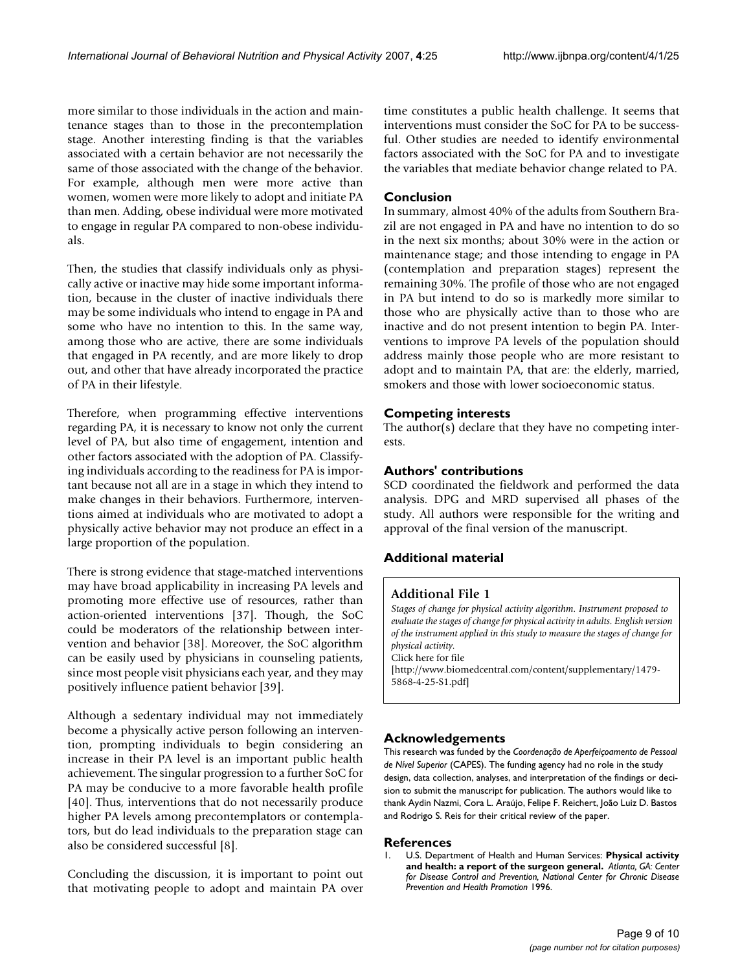more similar to those individuals in the action and maintenance stages than to those in the precontemplation stage. Another interesting finding is that the variables associated with a certain behavior are not necessarily the same of those associated with the change of the behavior. For example, although men were more active than women, women were more likely to adopt and initiate PA than men. Adding, obese individual were more motivated to engage in regular PA compared to non-obese individuals.

Then, the studies that classify individuals only as physically active or inactive may hide some important information, because in the cluster of inactive individuals there may be some individuals who intend to engage in PA and some who have no intention to this. In the same way, among those who are active, there are some individuals that engaged in PA recently, and are more likely to drop out, and other that have already incorporated the practice of PA in their lifestyle.

Therefore, when programming effective interventions regarding PA, it is necessary to know not only the current level of PA, but also time of engagement, intention and other factors associated with the adoption of PA. Classifying individuals according to the readiness for PA is important because not all are in a stage in which they intend to make changes in their behaviors. Furthermore, interventions aimed at individuals who are motivated to adopt a physically active behavior may not produce an effect in a large proportion of the population.

There is strong evidence that stage-matched interventions may have broad applicability in increasing PA levels and promoting more effective use of resources, rather than action-oriented interventions [37]. Though, the SoC could be moderators of the relationship between intervention and behavior [38]. Moreover, the SoC algorithm can be easily used by physicians in counseling patients, since most people visit physicians each year, and they may positively influence patient behavior [39].

Although a sedentary individual may not immediately become a physically active person following an intervention, prompting individuals to begin considering an increase in their PA level is an important public health achievement. The singular progression to a further SoC for PA may be conducive to a more favorable health profile [40]. Thus, interventions that do not necessarily produce higher PA levels among precontemplators or contemplators, but do lead individuals to the preparation stage can also be considered successful [8].

Concluding the discussion, it is important to point out that motivating people to adopt and maintain PA over time constitutes a public health challenge. It seems that interventions must consider the SoC for PA to be successful. Other studies are needed to identify environmental factors associated with the SoC for PA and to investigate the variables that mediate behavior change related to PA.

#### **Conclusion**

In summary, almost 40% of the adults from Southern Brazil are not engaged in PA and have no intention to do so in the next six months; about 30% were in the action or maintenance stage; and those intending to engage in PA (contemplation and preparation stages) represent the remaining 30%. The profile of those who are not engaged in PA but intend to do so is markedly more similar to those who are physically active than to those who are inactive and do not present intention to begin PA. Interventions to improve PA levels of the population should address mainly those people who are more resistant to adopt and to maintain PA, that are: the elderly, married, smokers and those with lower socioeconomic status.

## **Competing interests**

The author(s) declare that they have no competing interests.

#### **Authors' contributions**

SCD coordinated the fieldwork and performed the data analysis. DPG and MRD supervised all phases of the study. All authors were responsible for the writing and approval of the final version of the manuscript.

## **Additional material**

#### **Additional File 1**

*Stages of change for physical activity algorithm. Instrument proposed to evaluate the stages of change for physical activity in adults. English version of the instrument applied in this study to measure the stages of change for physical activity.*

Click here for file

[\[http://www.biomedcentral.com/content/supplementary/1479-](http://www.biomedcentral.com/content/supplementary/1479-5868-4-25-S1.pdf) 5868-4-25-S1.pdf]

#### **Acknowledgements**

This research was funded by the *Coordenação de Aperfeiçoamento de Pessoal de Nível Superior* (CAPES). The funding agency had no role in the study design, data collection, analyses, and interpretation of the findings or decision to submit the manuscript for publication. The authors would like to thank Aydin Nazmi, Cora L. Araújo, Felipe F. Reichert, João Luiz D. Bastos and Rodrigo S. Reis for their critical review of the paper.

#### **References**

1. U.S. Department of Health and Human Services: **Physical activity and health: a report of the surgeon general.** *Atlanta, GA: Center for Disease Control and Prevention, National Center for Chronic Disease Prevention and Health Promotion* 1996.